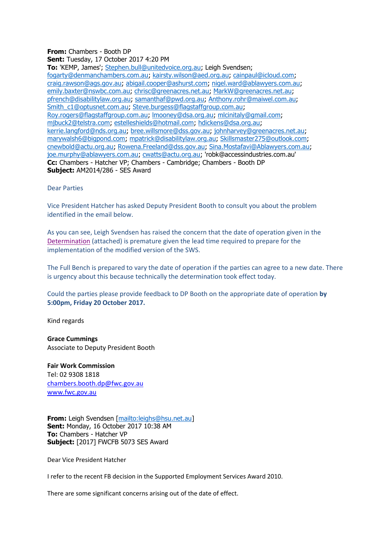## **From:** Chambers - Booth DP **Sent:** Tuesday, 17 October 2017 4:20 PM

**To:** 'KEMP, James'; [Stephen.bull@unitedvoice.org.au;](mailto:Stephen.bull@unitedvoice.org.au) Leigh Svendsen; [fogarty@denmanchambers.com.au;](mailto:fogarty@denmanchambers.com.au) [kairsty.wilson@aed.org.au;](mailto:kairsty.wilson@aed.org.au) [cainpaul@icloud.com;](mailto:cainpaul@icloud.com) [craig.rawson@ags.gov.au;](mailto:craig.rawson@ags.gov.au) [abigail.cooper@ashurst.com;](mailto:abigail.cooper@ashurst.com) [nigel.ward@ablawyers.com.au;](mailto:nigel.ward@ablawyers.com.au) [emily.baxter@nswbc.com.au;](mailto:emily.baxter@nswbc.com.au) [chrisc@greenacres.net.au;](mailto:chrisc@greenacres.net.au) [MarkW@greenacres.net.au;](mailto:MarkW@greenacres.net.au) [pfrench@disabilitylaw.org.au;](mailto:pfrench@disabilitylaw.org.au) [samanthaf@pwd.org.au;](mailto:samanthaf@pwd.org.au) [Anthony.rohr@maiwel.com.au;](mailto:Anthony.rohr@maiwel.com.au) [Smith\\_c1@optusnet.com.au;](mailto:Smith_c1@optusnet.com.au) [Steve.burgess@flagstaffgroup.com.au;](mailto:Steve.burgess@flagstaffgroup.com.au) [Roy.rogers@flagstaffgroup.com.au;](mailto:Roy.rogers@flagstaffgroup.com.au) [lmooney@dsa.org.au;](mailto:lmooney@dsa.org.au) [mlcinitaly@gmail.com;](mailto:mlcinitaly@gmail.com) [mjbuck2@telstra.com;](mailto:mjbuck2@telstra.com) [estelleshields@hotmail.com;](mailto:estelleshields@hotmail.com) [hdickens@dsa.org.au;](mailto:hdickens@dsa.org.au) [kerrie.langford@nds.org.au;](mailto:kerrie.langford@nds.org.au) [bree.willsmore@dss.gov.au;](mailto:bree.willsmore@dss.gov.au) [johnharvey@greenacres.net.au;](mailto:johnharvey@greenacres.net.au) [marywalsh6@bigpond.com;](mailto:marywalsh6@bigpond.com) [mpatrick@disabilitylaw.org.au;](mailto:mpatrick@disabilitylaw.org.au) [Skillsmaster275@outlook.com;](mailto:Skillsmaster275@outlook.com) [cnewbold@actu.org.au;](mailto:cnewbold@actu.org.au) [Rowena.Freeland@dss.gov.au;](mailto:Rowena.Freeland@dss.gov.au) [Sina.Mostafavi@Ablawyers.com.au;](mailto:Sina.Mostafavi@Ablawyers.com.au) [joe.murphy@ablawyers.com.au;](mailto:joe.murphy@ablawyers.com.au) [cwatts@actu.org.au;](mailto:cwatts@actu.org.au) 'robk@accessindustries.com.au' **Cc:** Chambers - Hatcher VP; Chambers - Cambridge; Chambers - Booth DP **Subject:** AM2014/286 - SES Award

## Dear Parties

Vice President Hatcher has asked Deputy President Booth to consult you about the problem identified in the email below.

As you can see, Leigh Svendsen has raised the concern that the date of operation given in the [Determination](https://www.fwc.gov.au/documents/awardsandorders/html/pr596711.htm) (attached) is premature given the lead time required to prepare for the implementation of the modified version of the SWS.

The Full Bench is prepared to vary the date of operation if the parties can agree to a new date. There is urgency about this because technically the determination took effect today.

Could the parties please provide feedback to DP Booth on the appropriate date of operation **by 5:00pm, Friday 20 October 2017.**

Kind regards

**Grace Cummings** Associate to Deputy President Booth

**Fair Work Commission** Tel: 02 9308 1818 [chambers.booth.dp@fwc.gov.au](mailto:chambers.booth.dp@fwc.gov.au) [www.fwc.gov.au](http://www.fwc.gov.au/)

**From:** Leigh Svendsen [\[mailto:leighs@hsu.net.au\]](mailto:leighs@hsu.net.au) **Sent:** Monday, 16 October 2017 10:38 AM **To:** Chambers - Hatcher VP **Subject:** [2017] FWCFB 5073 SES Award

Dear Vice President Hatcher

I refer to the recent FB decision in the Supported Employment Services Award 2010.

There are some significant concerns arising out of the date of effect.